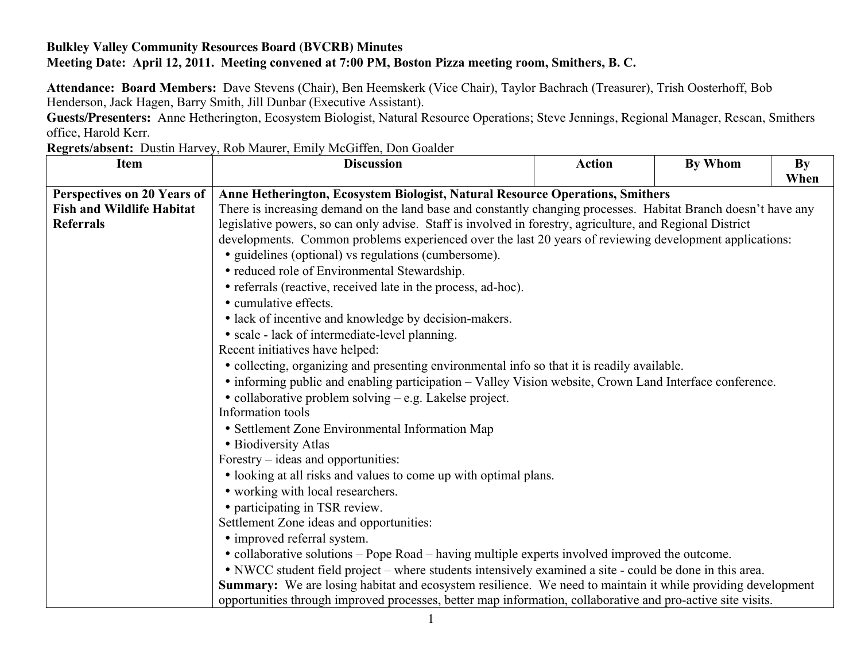## **Bulkley Valley Community Resources Board (BVCRB) Minutes Meeting Date: April 12, 2011. Meeting convened at 7:00 PM, Boston Pizza meeting room, Smithers, B. C.**

**Attendance: Board Members:** Dave Stevens (Chair), Ben Heemskerk (Vice Chair), Taylor Bachrach (Treasurer), Trish Oosterhoff, Bob Henderson, Jack Hagen, Barry Smith, Jill Dunbar (Executive Assistant).

**Guests/Presenters:** Anne Hetherington, Ecosystem Biologist, Natural Resource Operations; Steve Jennings, Regional Manager, Rescan, Smithers office, Harold Kerr.

**Regrets/absent:** Dustin Harvey, Rob Maurer, Emily McGiffen, Don Goalder

| <b>Item</b>                      | <b>Discussion</b>                                                                                                              | <b>Action</b> | By Whom | <b>By</b> |
|----------------------------------|--------------------------------------------------------------------------------------------------------------------------------|---------------|---------|-----------|
|                                  |                                                                                                                                |               |         | When      |
| Perspectives on 20 Years of      | Anne Hetherington, Ecosystem Biologist, Natural Resource Operations, Smithers                                                  |               |         |           |
| <b>Fish and Wildlife Habitat</b> | There is increasing demand on the land base and constantly changing processes. Habitat Branch doesn't have any                 |               |         |           |
| <b>Referrals</b>                 | legislative powers, so can only advise. Staff is involved in forestry, agriculture, and Regional District                      |               |         |           |
|                                  | developments. Common problems experienced over the last 20 years of reviewing development applications:                        |               |         |           |
|                                  | • guidelines (optional) vs regulations (cumbersome).                                                                           |               |         |           |
|                                  | • reduced role of Environmental Stewardship.                                                                                   |               |         |           |
|                                  | • referrals (reactive, received late in the process, ad-hoc).                                                                  |               |         |           |
|                                  | • cumulative effects.                                                                                                          |               |         |           |
|                                  | • lack of incentive and knowledge by decision-makers.                                                                          |               |         |           |
|                                  | • scale - lack of intermediate-level planning.                                                                                 |               |         |           |
|                                  | Recent initiatives have helped:<br>• collecting, organizing and presenting environmental info so that it is readily available. |               |         |           |
|                                  |                                                                                                                                |               |         |           |
|                                  | • informing public and enabling participation – Valley Vision website, Crown Land Interface conference.                        |               |         |           |
|                                  | • collaborative problem solving – e.g. Lakelse project.<br>Information tools                                                   |               |         |           |
|                                  |                                                                                                                                |               |         |           |
|                                  | • Settlement Zone Environmental Information Map                                                                                |               |         |           |
|                                  | • Biodiversity Atlas                                                                                                           |               |         |           |
|                                  | Forestry – ideas and opportunities:                                                                                            |               |         |           |
|                                  | • looking at all risks and values to come up with optimal plans.                                                               |               |         |           |
|                                  | • working with local researchers.                                                                                              |               |         |           |
|                                  | • participating in TSR review.                                                                                                 |               |         |           |
|                                  | Settlement Zone ideas and opportunities:                                                                                       |               |         |           |
|                                  | • improved referral system.                                                                                                    |               |         |           |
|                                  | • collaborative solutions – Pope Road – having multiple experts involved improved the outcome.                                 |               |         |           |
|                                  | • NWCC student field project – where students intensively examined a site - could be done in this area.                        |               |         |           |
|                                  | Summary: We are losing habitat and ecosystem resilience. We need to maintain it while providing development                    |               |         |           |
|                                  | opportunities through improved processes, better map information, collaborative and pro-active site visits.                    |               |         |           |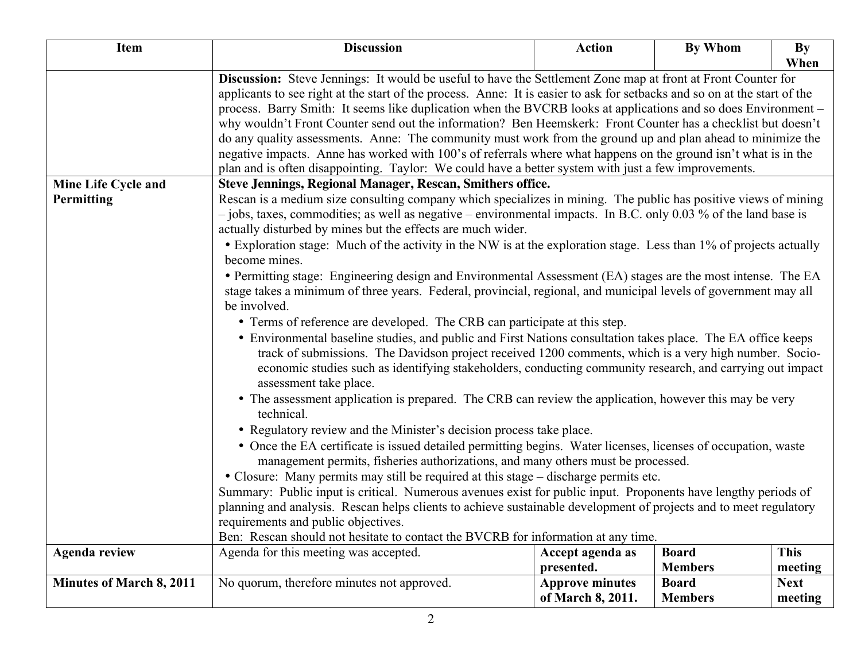| Item                            | <b>Discussion</b>                                                                                                                                                                                                                                                                                                                                                                                           | <b>Action</b>          | By Whom        | By          |
|---------------------------------|-------------------------------------------------------------------------------------------------------------------------------------------------------------------------------------------------------------------------------------------------------------------------------------------------------------------------------------------------------------------------------------------------------------|------------------------|----------------|-------------|
|                                 |                                                                                                                                                                                                                                                                                                                                                                                                             |                        |                | When        |
|                                 | Discussion: Steve Jennings: It would be useful to have the Settlement Zone map at front at Front Counter for                                                                                                                                                                                                                                                                                                |                        |                |             |
|                                 | applicants to see right at the start of the process. Anne: It is easier to ask for setbacks and so on at the start of the<br>process. Barry Smith: It seems like duplication when the BVCRB looks at applications and so does Environment –                                                                                                                                                                 |                        |                |             |
|                                 | why wouldn't Front Counter send out the information? Ben Heemskerk: Front Counter has a checklist but doesn't                                                                                                                                                                                                                                                                                               |                        |                |             |
|                                 | do any quality assessments. Anne: The community must work from the ground up and plan ahead to minimize the                                                                                                                                                                                                                                                                                                 |                        |                |             |
|                                 | negative impacts. Anne has worked with 100's of referrals where what happens on the ground isn't what is in the                                                                                                                                                                                                                                                                                             |                        |                |             |
|                                 | plan and is often disappointing. Taylor: We could have a better system with just a few improvements.                                                                                                                                                                                                                                                                                                        |                        |                |             |
| Mine Life Cycle and             | <b>Steve Jennings, Regional Manager, Rescan, Smithers office.</b>                                                                                                                                                                                                                                                                                                                                           |                        |                |             |
| Permitting                      | Rescan is a medium size consulting company which specializes in mining. The public has positive views of mining                                                                                                                                                                                                                                                                                             |                        |                |             |
|                                 | - jobs, taxes, commodities; as well as negative – environmental impacts. In B.C. only 0.03 % of the land base is<br>actually disturbed by mines but the effects are much wider.                                                                                                                                                                                                                             |                        |                |             |
|                                 | • Exploration stage: Much of the activity in the NW is at the exploration stage. Less than 1% of projects actually                                                                                                                                                                                                                                                                                          |                        |                |             |
|                                 | become mines.                                                                                                                                                                                                                                                                                                                                                                                               |                        |                |             |
|                                 | • Permitting stage: Engineering design and Environmental Assessment (EA) stages are the most intense. The EA                                                                                                                                                                                                                                                                                                |                        |                |             |
|                                 | stage takes a minimum of three years. Federal, provincial, regional, and municipal levels of government may all                                                                                                                                                                                                                                                                                             |                        |                |             |
|                                 | be involved.                                                                                                                                                                                                                                                                                                                                                                                                |                        |                |             |
|                                 | • Terms of reference are developed. The CRB can participate at this step.                                                                                                                                                                                                                                                                                                                                   |                        |                |             |
|                                 | • Environmental baseline studies, and public and First Nations consultation takes place. The EA office keeps                                                                                                                                                                                                                                                                                                |                        |                |             |
|                                 | track of submissions. The Davidson project received 1200 comments, which is a very high number. Socio-                                                                                                                                                                                                                                                                                                      |                        |                |             |
|                                 | economic studies such as identifying stakeholders, conducting community research, and carrying out impact<br>assessment take place.                                                                                                                                                                                                                                                                         |                        |                |             |
|                                 | • The assessment application is prepared. The CRB can review the application, however this may be very                                                                                                                                                                                                                                                                                                      |                        |                |             |
|                                 | technical.                                                                                                                                                                                                                                                                                                                                                                                                  |                        |                |             |
|                                 | • Regulatory review and the Minister's decision process take place.                                                                                                                                                                                                                                                                                                                                         |                        |                |             |
|                                 | • Once the EA certificate is issued detailed permitting begins. Water licenses, licenses of occupation, waste<br>management permits, fisheries authorizations, and many others must be processed.<br>• Closure: Many permits may still be required at this stage - discharge permits etc.<br>Summary: Public input is critical. Numerous avenues exist for public input. Proponents have lengthy periods of |                        |                |             |
|                                 |                                                                                                                                                                                                                                                                                                                                                                                                             |                        |                |             |
|                                 |                                                                                                                                                                                                                                                                                                                                                                                                             |                        |                |             |
|                                 |                                                                                                                                                                                                                                                                                                                                                                                                             |                        |                |             |
|                                 | planning and analysis. Rescan helps clients to achieve sustainable development of projects and to meet regulatory                                                                                                                                                                                                                                                                                           |                        |                |             |
|                                 | requirements and public objectives.<br>Ben: Rescan should not hesitate to contact the BVCRB for information at any time.                                                                                                                                                                                                                                                                                    |                        |                |             |
| <b>Agenda review</b>            | Agenda for this meeting was accepted.                                                                                                                                                                                                                                                                                                                                                                       | Accept agenda as       | <b>Board</b>   | <b>This</b> |
|                                 |                                                                                                                                                                                                                                                                                                                                                                                                             | presented.             | <b>Members</b> | meeting     |
| <b>Minutes of March 8, 2011</b> | No quorum, therefore minutes not approved.                                                                                                                                                                                                                                                                                                                                                                  | <b>Approve minutes</b> | <b>Board</b>   | <b>Next</b> |
|                                 |                                                                                                                                                                                                                                                                                                                                                                                                             | of March 8, 2011.      | <b>Members</b> | meeting     |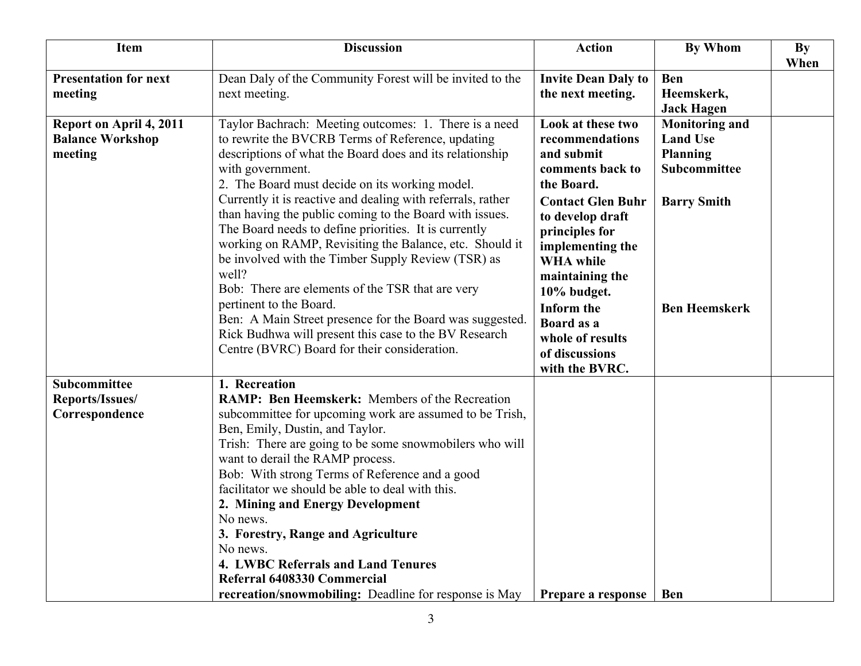| Item                                                          | <b>Discussion</b>                                                                                                                                                                                                                                                                                                                                                                                                                                                                                                                                                                                  | <b>Action</b>                                                                                                                                                                                                                       | <b>By Whom</b>                                                              | <b>By</b><br>When |
|---------------------------------------------------------------|----------------------------------------------------------------------------------------------------------------------------------------------------------------------------------------------------------------------------------------------------------------------------------------------------------------------------------------------------------------------------------------------------------------------------------------------------------------------------------------------------------------------------------------------------------------------------------------------------|-------------------------------------------------------------------------------------------------------------------------------------------------------------------------------------------------------------------------------------|-----------------------------------------------------------------------------|-------------------|
| <b>Presentation for next</b><br>meeting                       | Dean Daly of the Community Forest will be invited to the<br>next meeting.                                                                                                                                                                                                                                                                                                                                                                                                                                                                                                                          | <b>Invite Dean Daly to</b><br>the next meeting.                                                                                                                                                                                     | <b>Ben</b><br>Heemskerk,<br><b>Jack Hagen</b>                               |                   |
| Report on April 4, 2011<br><b>Balance Workshop</b><br>meeting | Taylor Bachrach: Meeting outcomes: 1. There is a need<br>to rewrite the BVCRB Terms of Reference, updating<br>descriptions of what the Board does and its relationship<br>with government.<br>2. The Board must decide on its working model.                                                                                                                                                                                                                                                                                                                                                       | Look at these two<br>recommendations<br>and submit<br>comments back to<br>the Board.                                                                                                                                                | <b>Monitoring and</b><br><b>Land Use</b><br><b>Planning</b><br>Subcommittee |                   |
|                                                               | Currently it is reactive and dealing with referrals, rather<br>than having the public coming to the Board with issues.<br>The Board needs to define priorities. It is currently<br>working on RAMP, Revisiting the Balance, etc. Should it<br>be involved with the Timber Supply Review (TSR) as<br>well?<br>Bob: There are elements of the TSR that are very<br>pertinent to the Board.<br>Ben: A Main Street presence for the Board was suggested.<br>Rick Budhwa will present this case to the BV Research<br>Centre (BVRC) Board for their consideration.                                      | <b>Contact Glen Buhr</b><br>to develop draft<br>principles for<br>implementing the<br><b>WHA</b> while<br>maintaining the<br>10% budget.<br><b>Inform the</b><br>Board as a<br>whole of results<br>of discussions<br>with the BVRC. | <b>Barry Smith</b><br><b>Ben Heemskerk</b>                                  |                   |
| Subcommittee<br>Reports/Issues/<br>Correspondence             | 1. Recreation<br>RAMP: Ben Heemskerk: Members of the Recreation<br>subcommittee for upcoming work are assumed to be Trish,<br>Ben, Emily, Dustin, and Taylor.<br>Trish: There are going to be some snowmobilers who will<br>want to derail the RAMP process.<br>Bob: With strong Terms of Reference and a good<br>facilitator we should be able to deal with this.<br>2. Mining and Energy Development<br>No news.<br>3. Forestry, Range and Agriculture<br>No news.<br>4. LWBC Referrals and Land Tenures<br>Referral 6408330 Commercial<br>recreation/snowmobiling: Deadline for response is May | Prepare a response                                                                                                                                                                                                                  | <b>Ben</b>                                                                  |                   |